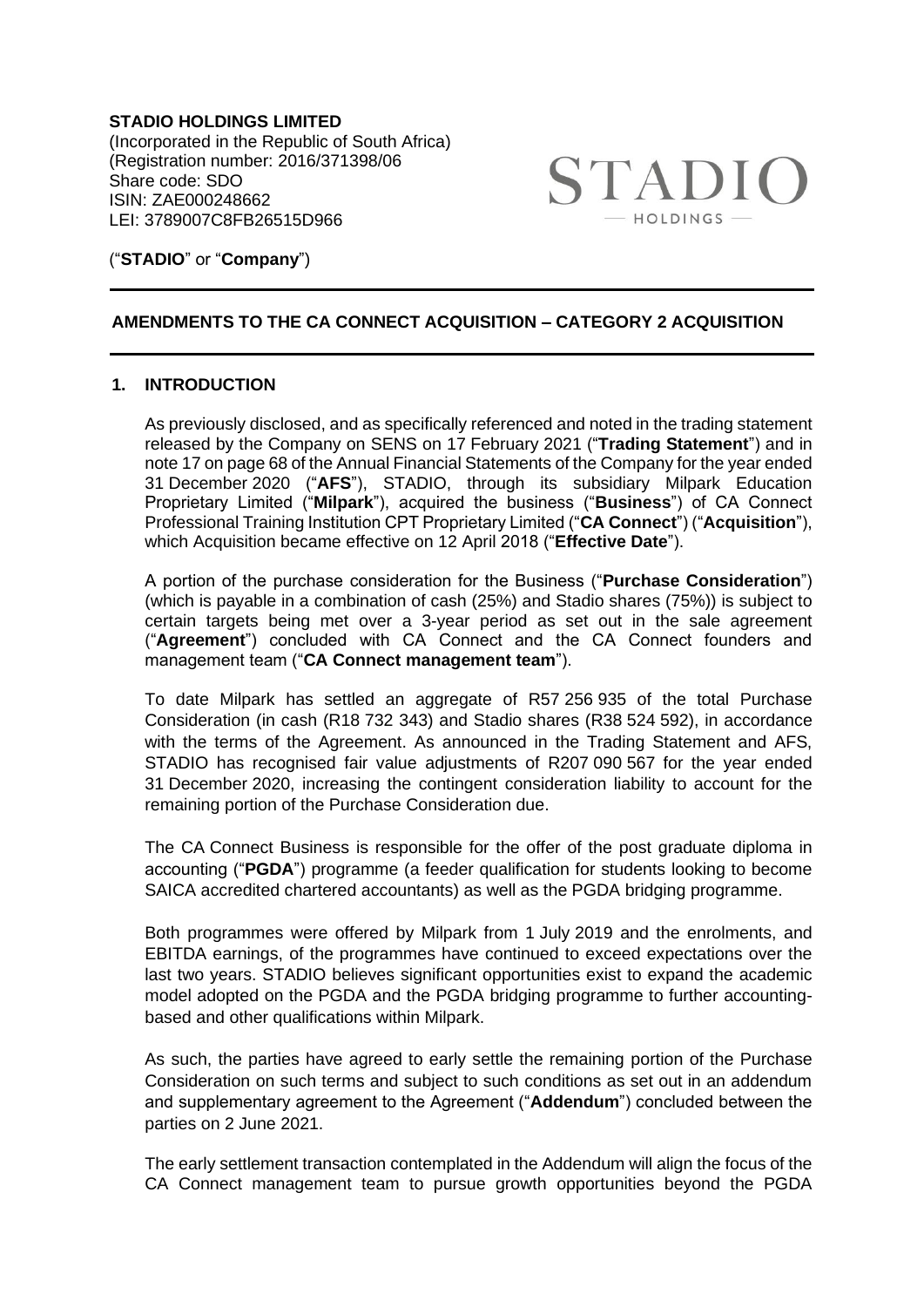**STADIO HOLDINGS LIMITED** (Incorporated in the Republic of South Africa) (Registration number: 2016/371398/06 Share code: SDO ISIN: ZAE000248662 LEI: 3789007C8FB26515D966



### ("**STADIO**" or "**Company**")

# **AMENDMENTS TO THE CA CONNECT ACQUISITION – CATEGORY 2 ACQUISITION**

# **1. INTRODUCTION**

As previously disclosed, and as specifically referenced and noted in the trading statement released by the Company on SENS on 17 February 2021 ("**Trading Statement**") and in note 17 on page 68 of the Annual Financial Statements of the Company for the year ended 31 December 2020 ("**AFS**"), STADIO, through its subsidiary Milpark Education Proprietary Limited ("**Milpark**"), acquired the business ("**Business**") of CA Connect Professional Training Institution CPT Proprietary Limited ("**CA Connect**") ("**Acquisition**"), which Acquisition became effective on 12 April 2018 ("**Effective Date**").

A portion of the purchase consideration for the Business ("**Purchase Consideration**") (which is payable in a combination of cash (25%) and Stadio shares (75%)) is subject to certain targets being met over a 3-year period as set out in the sale agreement ("**Agreement**") concluded with CA Connect and the CA Connect founders and management team ("**CA Connect management team**").

To date Milpark has settled an aggregate of R57 256 935 of the total Purchase Consideration (in cash (R18 732 343) and Stadio shares (R38 524 592), in accordance with the terms of the Agreement. As announced in the Trading Statement and AFS, STADIO has recognised fair value adjustments of R207 090 567 for the year ended 31 December 2020, increasing the contingent consideration liability to account for the remaining portion of the Purchase Consideration due.

The CA Connect Business is responsible for the offer of the post graduate diploma in accounting ("**PGDA**") programme (a feeder qualification for students looking to become SAICA accredited chartered accountants) as well as the PGDA bridging programme.

Both programmes were offered by Milpark from 1 July 2019 and the enrolments, and EBITDA earnings, of the programmes have continued to exceed expectations over the last two years. STADIO believes significant opportunities exist to expand the academic model adopted on the PGDA and the PGDA bridging programme to further accountingbased and other qualifications within Milpark.

As such, the parties have agreed to early settle the remaining portion of the Purchase Consideration on such terms and subject to such conditions as set out in an addendum and supplementary agreement to the Agreement ("**Addendum**") concluded between the parties on 2 June 2021.

The early settlement transaction contemplated in the Addendum will align the focus of the CA Connect management team to pursue growth opportunities beyond the PGDA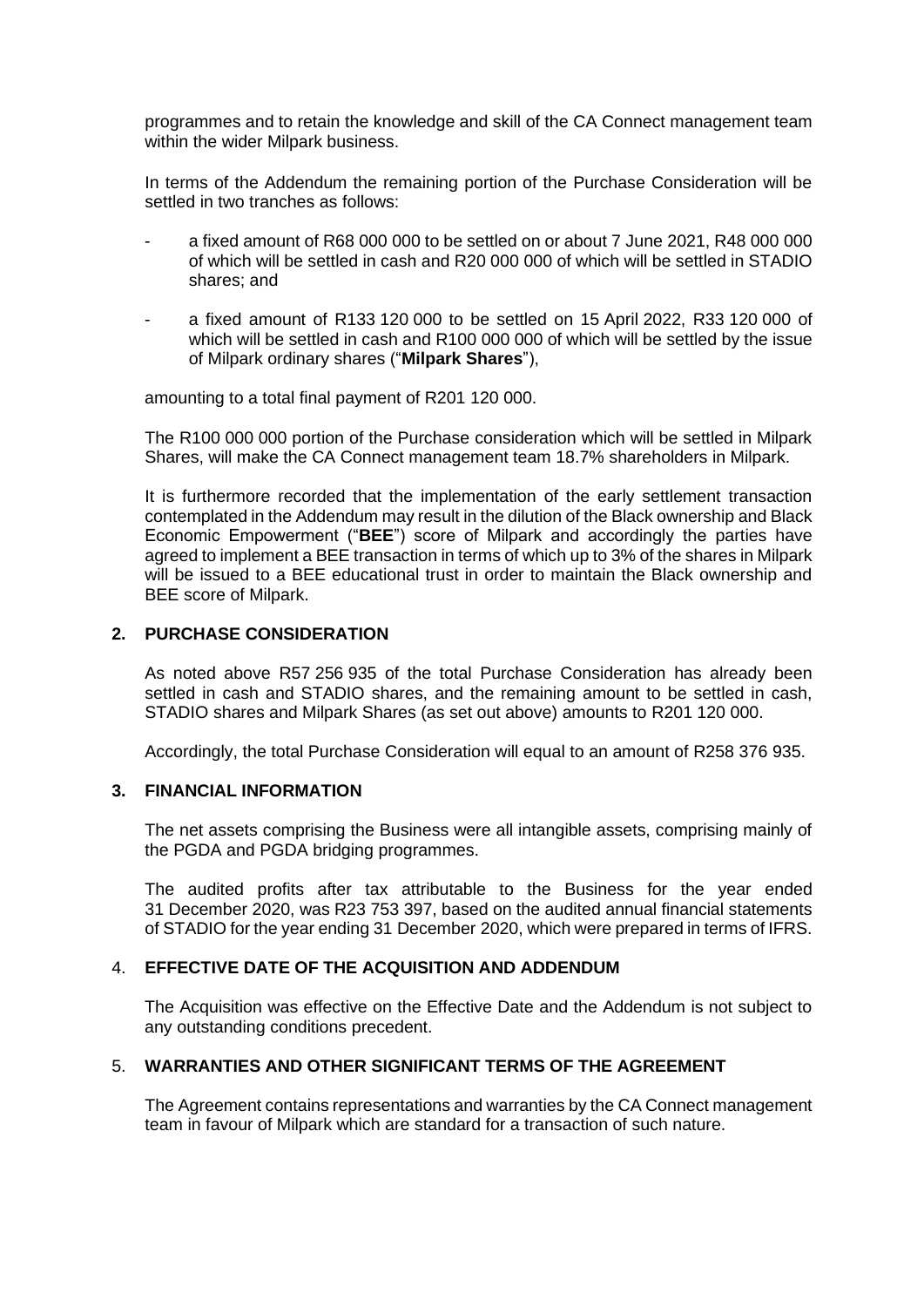programmes and to retain the knowledge and skill of the CA Connect management team within the wider Milpark business.

In terms of the Addendum the remaining portion of the Purchase Consideration will be settled in two tranches as follows:

- a fixed amount of R68 000 000 to be settled on or about 7 June 2021, R48 000 000 of which will be settled in cash and R20 000 000 of which will be settled in STADIO shares; and
- a fixed amount of R133 120 000 to be settled on 15 April 2022, R33 120 000 of which will be settled in cash and R100 000 000 of which will be settled by the issue of Milpark ordinary shares ("**Milpark Shares**"),

amounting to a total final payment of R201 120 000.

The R100 000 000 portion of the Purchase consideration which will be settled in Milpark Shares, will make the CA Connect management team 18.7% shareholders in Milpark.

It is furthermore recorded that the implementation of the early settlement transaction contemplated in the Addendum may result in the dilution of the Black ownership and Black Economic Empowerment ("**BEE**") score of Milpark and accordingly the parties have agreed to implement a BEE transaction in terms of which up to 3% of the shares in Milpark will be issued to a BEE educational trust in order to maintain the Black ownership and BEE score of Milpark.

# **2. PURCHASE CONSIDERATION**

As noted above R57 256 935 of the total Purchase Consideration has already been settled in cash and STADIO shares, and the remaining amount to be settled in cash, STADIO shares and Milpark Shares (as set out above) amounts to R201 120 000.

Accordingly, the total Purchase Consideration will equal to an amount of R258 376 935.

# **3. FINANCIAL INFORMATION**

The net assets comprising the Business were all intangible assets, comprising mainly of the PGDA and PGDA bridging programmes.

The audited profits after tax attributable to the Business for the year ended 31 December 2020, was R23 753 397, based on the audited annual financial statements of STADIO for the year ending 31 December 2020, which were prepared in terms of IFRS.

#### 4. **EFFECTIVE DATE OF THE ACQUISITION AND ADDENDUM**

The Acquisition was effective on the Effective Date and the Addendum is not subject to any outstanding conditions precedent.

# 5. **WARRANTIES AND OTHER SIGNIFICANT TERMS OF THE AGREEMENT**

The Agreement contains representations and warranties by the CA Connect management team in favour of Milpark which are standard for a transaction of such nature.